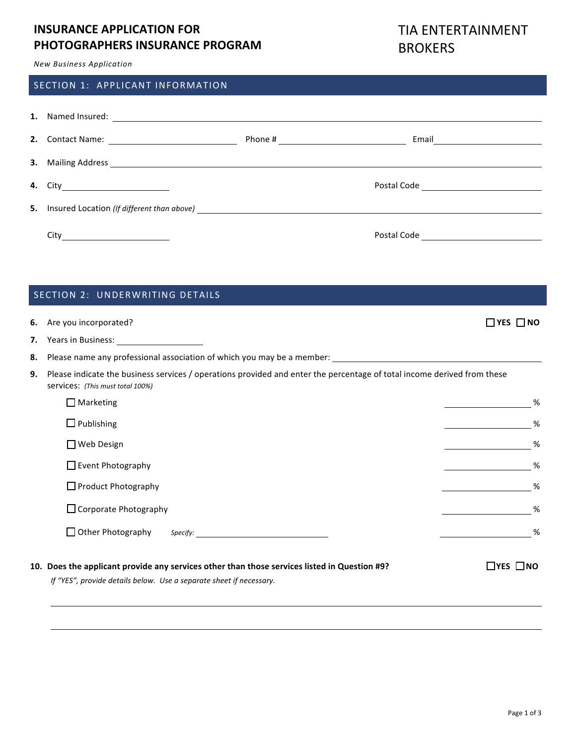## **INSURANCE APPLICATION FOR PHOTOGRAPHERS INSURANCE PROGRAM**

# TIA ENTERTAINMENT **BROKERS**

*New Business Application*

### SECTION 1: APPLICANT INFORMATION

| 2. |                                                                                                                                                                                                                                         |                                           |
|----|-----------------------------------------------------------------------------------------------------------------------------------------------------------------------------------------------------------------------------------------|-------------------------------------------|
|    | <b>3.</b> Mailing Address <u>Communications</u> and the contract of the contract of the contract of the contract of the contract of the contract of the contract of the contract of the contract of the contract of the contract of the |                                           |
|    |                                                                                                                                                                                                                                         | Postal Code                               |
|    | <b>5.</b> Insured Location (If different than above) <b>Section 2008 CONVINGUARY 100 CONVINGUARY 100 CONVINGUARY 100 CONVINGUARY 100 CONVINGUARY 100 CONVINGUARY 100 CONVINGUARY 100 CONVINGUARY 100 CONVINGUARY 100 CONVINGUARY 10</b> |                                           |
|    |                                                                                                                                                                                                                                         | Postal Code <u>______________________</u> |

| 6. | Are you incorporated?                                                                                                                                               | $\Box$ YES $\Box$ NO |  |  |  |
|----|---------------------------------------------------------------------------------------------------------------------------------------------------------------------|----------------------|--|--|--|
| 7. | Years in Business: 1997 March 2014                                                                                                                                  |                      |  |  |  |
| 8. |                                                                                                                                                                     |                      |  |  |  |
| 9. | Please indicate the business services / operations provided and enter the percentage of total income derived from these<br>services: (This must total 100%)         |                      |  |  |  |
|    | $\Box$ Marketing                                                                                                                                                    | %                    |  |  |  |
|    | $\Box$ Publishing                                                                                                                                                   | %                    |  |  |  |
|    | □ Web Design                                                                                                                                                        | %                    |  |  |  |
|    | $\Box$ Event Photography                                                                                                                                            | %                    |  |  |  |
|    | $\Box$ Product Photography                                                                                                                                          | %                    |  |  |  |
|    | $\Box$ Corporate Photography                                                                                                                                        | %                    |  |  |  |
|    | $\Box$ Other Photography                                                                                                                                            | %                    |  |  |  |
|    | 10. Does the applicant provide any services other than those services listed in Question #9?<br>If "YES", provide details below. Use a separate sheet if necessary. | $\Box$ YES $\Box$ NO |  |  |  |

<u> 1980 - Johann Stoff, amerikansk politiker (\* 1900)</u>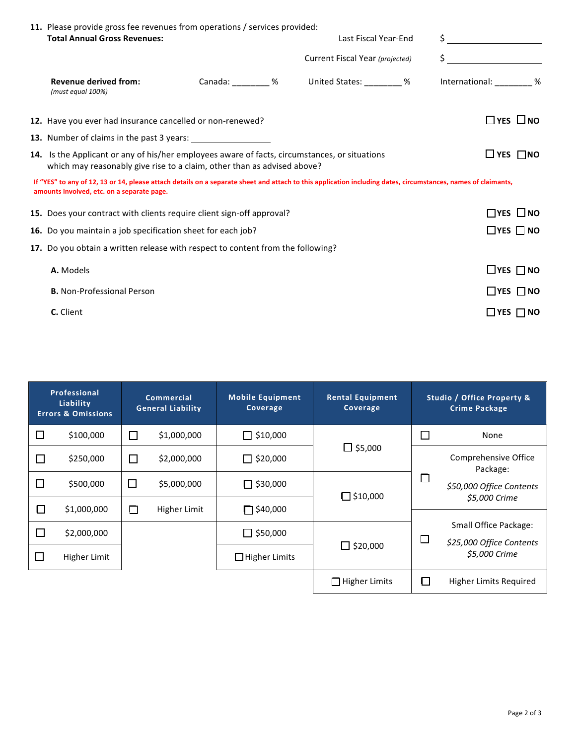|  | 11. Please provide gross fee revenues from operations / services provided:                                                                                                                                  |  |  |                                             |  |                                                                                                                                                                                                                                                                                                                     |                      |  |
|--|-------------------------------------------------------------------------------------------------------------------------------------------------------------------------------------------------------------|--|--|---------------------------------------------|--|---------------------------------------------------------------------------------------------------------------------------------------------------------------------------------------------------------------------------------------------------------------------------------------------------------------------|----------------------|--|
|  | <b>Total Annual Gross Revenues:</b>                                                                                                                                                                         |  |  | Last Fiscal Year-End                        |  | $\frac{1}{2}$ $\frac{1}{2}$ $\frac{1}{2}$ $\frac{1}{2}$ $\frac{1}{2}$ $\frac{1}{2}$ $\frac{1}{2}$ $\frac{1}{2}$ $\frac{1}{2}$ $\frac{1}{2}$ $\frac{1}{2}$ $\frac{1}{2}$ $\frac{1}{2}$ $\frac{1}{2}$ $\frac{1}{2}$ $\frac{1}{2}$ $\frac{1}{2}$ $\frac{1}{2}$ $\frac{1}{2}$ $\frac{1}{2}$ $\frac{1}{2}$ $\frac{1}{2}$ |                      |  |
|  |                                                                                                                                                                                                             |  |  | Current Fiscal Year (projected)             |  |                                                                                                                                                                                                                                                                                                                     |                      |  |
|  | <b>Revenue derived from:</b><br>(must equal 100%)                                                                                                                                                           |  |  | Canada: ________ % United States: _______ % |  | International: _________ %                                                                                                                                                                                                                                                                                          |                      |  |
|  | $\Box$ yes $\Box$ no<br>12. Have you ever had insurance cancelled or non-renewed?                                                                                                                           |  |  |                                             |  |                                                                                                                                                                                                                                                                                                                     |                      |  |
|  | 13. Number of claims in the past 3 years:                                                                                                                                                                   |  |  |                                             |  |                                                                                                                                                                                                                                                                                                                     |                      |  |
|  | 14. Is the Applicant or any of his/her employees aware of facts, circumstances, or situations<br>which may reasonably give rise to a claim, other than as advised above?                                    |  |  |                                             |  | $\Box$ YES $\Box$ NO                                                                                                                                                                                                                                                                                                |                      |  |
|  | If "YES" to any of 12, 13 or 14, please attach details on a separate sheet and attach to this application including dates, circumstances, names of claimants,<br>amounts involved, etc. on a separate page. |  |  |                                             |  |                                                                                                                                                                                                                                                                                                                     |                      |  |
|  | 15. Does your contract with clients require client sign-off approval?                                                                                                                                       |  |  |                                             |  | $\Box$ YES $\Box$ NO                                                                                                                                                                                                                                                                                                |                      |  |
|  | 16. Do you maintain a job specification sheet for each job?                                                                                                                                                 |  |  |                                             |  | $\Box$ YES $\Box$ NO                                                                                                                                                                                                                                                                                                |                      |  |
|  | 17. Do you obtain a written release with respect to content from the following?                                                                                                                             |  |  |                                             |  |                                                                                                                                                                                                                                                                                                                     |                      |  |
|  | A. Models                                                                                                                                                                                                   |  |  |                                             |  |                                                                                                                                                                                                                                                                                                                     | $\Box$ YES $\Box$ NO |  |
|  | <b>B.</b> Non-Professional Person                                                                                                                                                                           |  |  |                                             |  |                                                                                                                                                                                                                                                                                                                     | $\Box$ YES $\Box$ NO |  |
|  | C. Client                                                                                                                                                                                                   |  |  |                                             |  |                                                                                                                                                                                                                                                                                                                     | $\Box$ YES $\Box$ NO |  |

| Professional<br>Liability<br><b>Errors &amp; Omissions</b> |              | <b>Commercial</b><br><b>General Liability</b> |              | <b>Mobile Equipment</b><br>Coverage | <b>Rental Equipment</b><br><b>Coverage</b> | <b>Studio / Office Property &amp;</b><br><b>Crime Package</b> |                                                   |  |
|------------------------------------------------------------|--------------|-----------------------------------------------|--------------|-------------------------------------|--------------------------------------------|---------------------------------------------------------------|---------------------------------------------------|--|
| $\Box$                                                     | \$100,000    | $\Box$                                        | \$1,000,000  | $\Box$ \$10,000                     |                                            | П                                                             | None                                              |  |
| $\Box$                                                     | \$250,000    | $\Box$                                        | \$2,000,000  | $\Box$ \$20,000                     | $\Box$ \$5,000                             |                                                               | Comprehensive Office<br>Package:                  |  |
| $\Box$                                                     | \$500,000    | $\Box$                                        | \$5,000,000  | $\Box$ \$30,000                     | $\Box$ \$10,000                            |                                                               | \$50,000 Office Contents                          |  |
| $\Box$                                                     | \$1,000,000  | $\Box$                                        | Higher Limit | $\Box$ \$40,000                     |                                            |                                                               | \$5,000 Crime                                     |  |
| $\Box$                                                     | \$2,000,000  |                                               |              | $\Box$ \$50,000                     |                                            | $\Box$                                                        | Small Office Package:<br>\$25,000 Office Contents |  |
| ப                                                          | Higher Limit |                                               |              | $\Box$ Higher Limits                | $\Box$ \$20,000                            |                                                               | \$5,000 Crime                                     |  |
|                                                            |              |                                               |              |                                     | $\Box$ Higher Limits                       | . .                                                           | Higher Limits Required                            |  |